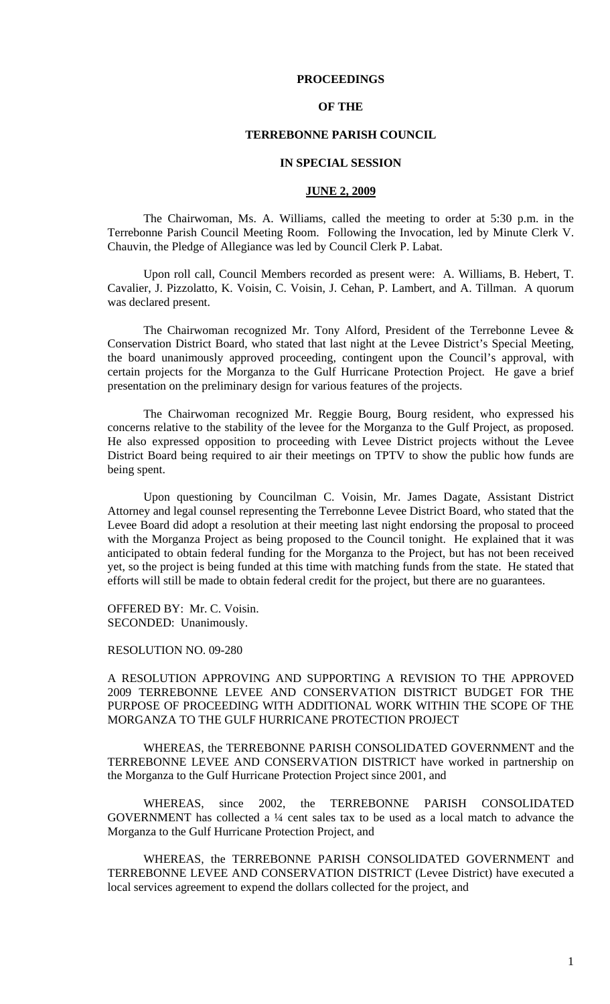## **PROCEEDINGS**

## **OF THE**

### **TERREBONNE PARISH COUNCIL**

#### **IN SPECIAL SESSION**

### **JUNE 2, 2009**

 The Chairwoman, Ms. A. Williams, called the meeting to order at 5:30 p.m. in the Terrebonne Parish Council Meeting Room. Following the Invocation, led by Minute Clerk V. Chauvin, the Pledge of Allegiance was led by Council Clerk P. Labat.

Upon roll call, Council Members recorded as present were: A. Williams, B. Hebert, T. Cavalier, J. Pizzolatto, K. Voisin, C. Voisin, J. Cehan, P. Lambert, and A. Tillman. A quorum was declared present.

The Chairwoman recognized Mr. Tony Alford, President of the Terrebonne Levee & Conservation District Board, who stated that last night at the Levee District's Special Meeting, the board unanimously approved proceeding, contingent upon the Council's approval, with certain projects for the Morganza to the Gulf Hurricane Protection Project. He gave a brief presentation on the preliminary design for various features of the projects.

The Chairwoman recognized Mr. Reggie Bourg, Bourg resident, who expressed his concerns relative to the stability of the levee for the Morganza to the Gulf Project, as proposed. He also expressed opposition to proceeding with Levee District projects without the Levee District Board being required to air their meetings on TPTV to show the public how funds are being spent.

Upon questioning by Councilman C. Voisin, Mr. James Dagate, Assistant District Attorney and legal counsel representing the Terrebonne Levee District Board, who stated that the Levee Board did adopt a resolution at their meeting last night endorsing the proposal to proceed with the Morganza Project as being proposed to the Council tonight. He explained that it was anticipated to obtain federal funding for the Morganza to the Project, but has not been received yet, so the project is being funded at this time with matching funds from the state. He stated that efforts will still be made to obtain federal credit for the project, but there are no guarantees.

OFFERED BY: Mr. C. Voisin. SECONDED: Unanimously.

# RESOLUTION NO. 09-280

A RESOLUTION APPROVING AND SUPPORTING A REVISION TO THE APPROVED 2009 TERREBONNE LEVEE AND CONSERVATION DISTRICT BUDGET FOR THE PURPOSE OF PROCEEDING WITH ADDITIONAL WORK WITHIN THE SCOPE OF THE MORGANZA TO THE GULF HURRICANE PROTECTION PROJECT

 WHEREAS, the TERREBONNE PARISH CONSOLIDATED GOVERNMENT and the TERREBONNE LEVEE AND CONSERVATION DISTRICT have worked in partnership on the Morganza to the Gulf Hurricane Protection Project since 2001, and

 WHEREAS, since 2002, the TERREBONNE PARISH CONSOLIDATED GOVERNMENT has collected a ¼ cent sales tax to be used as a local match to advance the Morganza to the Gulf Hurricane Protection Project, and

 WHEREAS, the TERREBONNE PARISH CONSOLIDATED GOVERNMENT and TERREBONNE LEVEE AND CONSERVATION DISTRICT (Levee District) have executed a local services agreement to expend the dollars collected for the project, and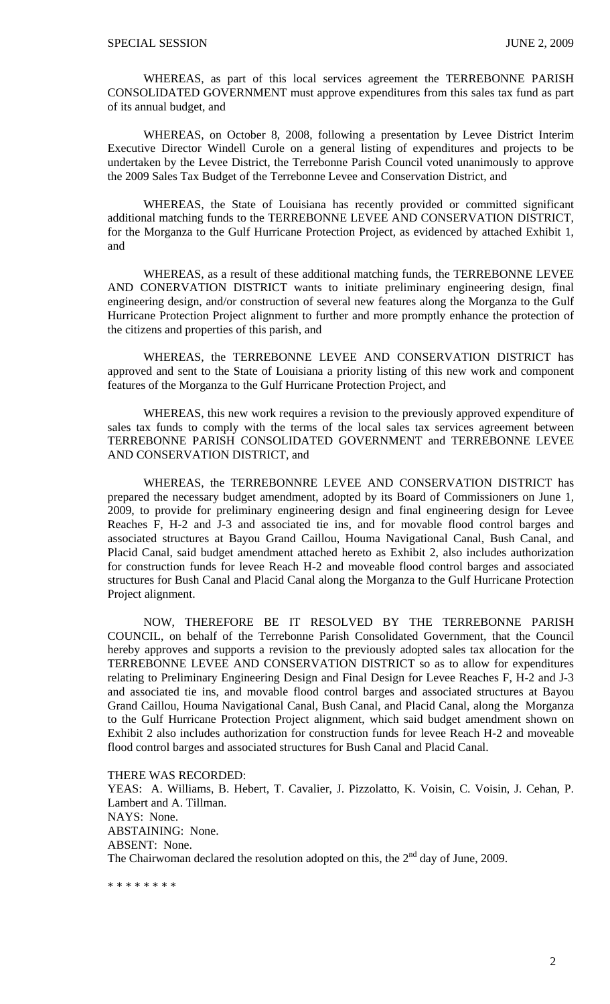WHEREAS, as part of this local services agreement the TERREBONNE PARISH CONSOLIDATED GOVERNMENT must approve expenditures from this sales tax fund as part of its annual budget, and

 WHEREAS, on October 8, 2008, following a presentation by Levee District Interim Executive Director Windell Curole on a general listing of expenditures and projects to be undertaken by the Levee District, the Terrebonne Parish Council voted unanimously to approve the 2009 Sales Tax Budget of the Terrebonne Levee and Conservation District, and

 WHEREAS, the State of Louisiana has recently provided or committed significant additional matching funds to the TERREBONNE LEVEE AND CONSERVATION DISTRICT, for the Morganza to the Gulf Hurricane Protection Project, as evidenced by attached Exhibit 1, and

 WHEREAS, as a result of these additional matching funds, the TERREBONNE LEVEE AND CONERVATION DISTRICT wants to initiate preliminary engineering design, final engineering design, and/or construction of several new features along the Morganza to the Gulf Hurricane Protection Project alignment to further and more promptly enhance the protection of the citizens and properties of this parish, and

 WHEREAS, the TERREBONNE LEVEE AND CONSERVATION DISTRICT has approved and sent to the State of Louisiana a priority listing of this new work and component features of the Morganza to the Gulf Hurricane Protection Project, and

 WHEREAS, this new work requires a revision to the previously approved expenditure of sales tax funds to comply with the terms of the local sales tax services agreement between TERREBONNE PARISH CONSOLIDATED GOVERNMENT and TERREBONNE LEVEE AND CONSERVATION DISTRICT, and

 WHEREAS, the TERREBONNRE LEVEE AND CONSERVATION DISTRICT has prepared the necessary budget amendment, adopted by its Board of Commissioners on June 1, 2009, to provide for preliminary engineering design and final engineering design for Levee Reaches F, H-2 and J-3 and associated tie ins, and for movable flood control barges and associated structures at Bayou Grand Caillou, Houma Navigational Canal, Bush Canal, and Placid Canal, said budget amendment attached hereto as Exhibit 2, also includes authorization for construction funds for levee Reach H-2 and moveable flood control barges and associated structures for Bush Canal and Placid Canal along the Morganza to the Gulf Hurricane Protection Project alignment.

 NOW, THEREFORE BE IT RESOLVED BY THE TERREBONNE PARISH COUNCIL, on behalf of the Terrebonne Parish Consolidated Government, that the Council hereby approves and supports a revision to the previously adopted sales tax allocation for the TERREBONNE LEVEE AND CONSERVATION DISTRICT so as to allow for expenditures relating to Preliminary Engineering Design and Final Design for Levee Reaches F, H-2 and J-3 and associated tie ins, and movable flood control barges and associated structures at Bayou Grand Caillou, Houma Navigational Canal, Bush Canal, and Placid Canal, along the Morganza to the Gulf Hurricane Protection Project alignment, which said budget amendment shown on Exhibit 2 also includes authorization for construction funds for levee Reach H-2 and moveable flood control barges and associated structures for Bush Canal and Placid Canal.

THERE WAS RECORDED:

YEAS: A. Williams, B. Hebert, T. Cavalier, J. Pizzolatto, K. Voisin, C. Voisin, J. Cehan, P. Lambert and A. Tillman. NAYS: None. ABSTAINING: None. ABSENT: None. The Chairwoman declared the resolution adopted on this, the  $2<sup>nd</sup>$  day of June, 2009.

\* \* \* \* \* \* \* \*